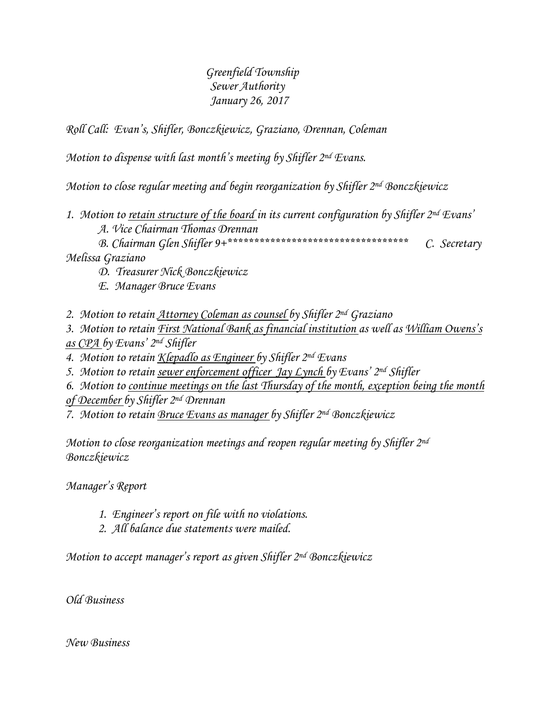# *Greenfield Township Sewer Authority January 26, 2017*

*Roll Call: Evan's, Shifler, Bonczkiewicz, Graziano, Drennan, Coleman*

*Motion to dispense with last month's meeting by Shifler 2nd Evans.*

*Motion to close regular meeting and begin reorganization by Shifler 2nd Bonczkiewicz*

*1. Motion to retain structure of the board in its current configuration by Shifler 2nd Evans'*

*A. Vice Chairman Thomas Drennan*

*B. Chairman Glen Shifler 9+\*\*\*\*\*\*\*\*\*\*\*\*\*\*\*\*\*\*\*\*\*\*\*\*\*\*\*\*\*\*\*\*\*\* C. Secretary Melissa Graziano*

*D. Treasurer Nick Bonczkiewicz*

*E. Manager Bruce Evans*

*2. Motion to retain Attorney Coleman as counsel by Shifler 2nd Graziano*

*3. Motion to retain First National Bank as financial institution as well as William Owens's as CPA by Evans' 2nd Shifler*

*4. Motion to retain Klepadlo as Engineer by Shifler 2nd Evans*

*5. Motion to retain sewer enforcement officer Jay Lynch by Evans' 2nd Shifler*

*6. Motion to continue meetings on the last Thursday of the month, exception being the month of December by Shifler 2nd Drennan*

*7. Motion to retain Bruce Evans as manager by Shifler 2nd Bonczkiewicz*

*Motion to close reorganization meetings and reopen regular meeting by Shifler 2nd Bonczkiewicz*

*Manager's Report*

- *1. Engineer's report on file with no violations.*
- *2. All balance due statements were mailed.*

*Motion to accept manager's report as given Shifler 2nd Bonczkiewicz*

*Old Business* 

*New Business*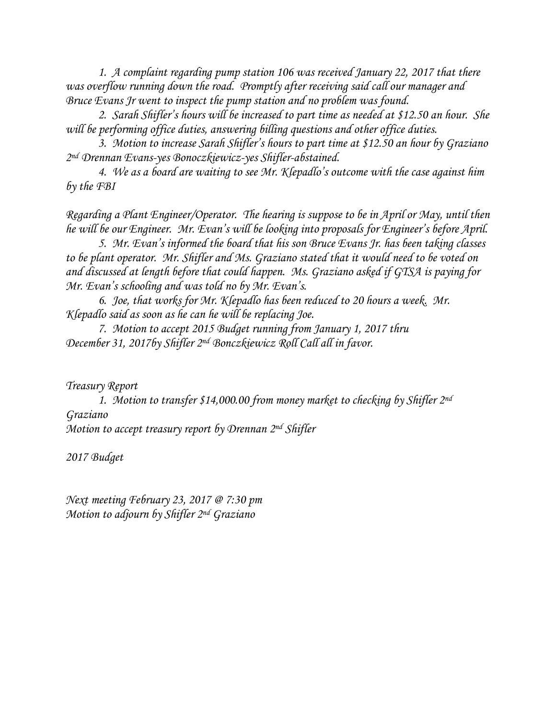*1. A complaint regarding pump station 106 was received January 22, 2017 that there was overflow running down the road. Promptly after receiving said call our manager and Bruce Evans Jr went to inspect the pump station and no problem was found.*

2. *Sarah Shifler's hours will be increased to part time as needed at \$12.50 an hour. She will be performing office duties, answering billing questions and other office duties.*

*3. Motion to increase Sarah Shifler's hours to part time at \$12.50 an hour by Graziano 2 nd Drennan Evans-yes Bonoczkiewicz-yes Shifler-abstained.*

*4. We as a board are waiting to see Mr. Klepadlo's outcome with the case against him by the FBI* 

*Regarding a Plant Engineer/Operator. The hearing is suppose to be in April or May, until then he will be our Engineer. Mr. Evan's will be looking into proposals for Engineer's before April.* 

*5. Mr. Evan's informed the board that his son Bruce Evans Jr. has been taking classes to be plant operator. Mr. Shifler and Ms. Graziano stated that it would need to be voted on and discussed at length before that could happen. Ms. Graziano asked if GTSA is paying for Mr. Evan's schooling and was told no by Mr. Evan's.* 

*6. Joe, that works for Mr. Klepadlo has been reduced to 20 hours a week. Mr. Klepadlo said as soon as he can he will be replacing Joe.*

*7. Motion to accept 2015 Budget running from January 1, 2017 thru December 31, 2017by Shifler 2nd Bonczkiewicz Roll Call all in favor.*

*Treasury Report*

*1. Motion to transfer \$14,000.00 from money market to checking by Shifler 2nd Graziano Motion to accept treasury report by Drennan 2nd Shifler*

*2017 Budget*

*Next meeting February 23, 2017 @ 7:30 pm Motion to adjourn by Shifler 2nd Graziano*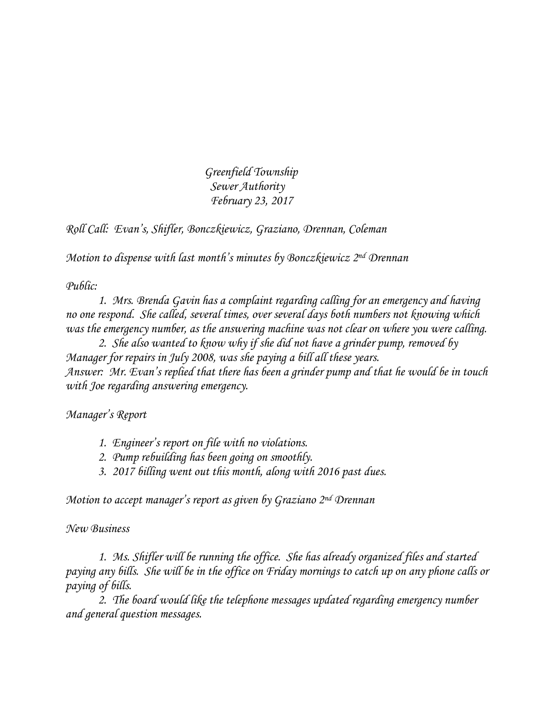*Greenfield Township Sewer Authority February 23, 2017*

*Roll Call: Evan's, Shifler, Bonczkiewicz, Graziano, Drennan, Coleman*

*Motion to dispense with last month's minutes by Bonczkiewicz 2 nd Drennan*

*Public:*

*1. Mrs. Brenda Gavin has a complaint regarding calling for an emergency and having no one respond. She called, several times, over several days both numbers not knowing which was the emergency number, as the answering machine was not clear on where you were calling.*

*2. She also wanted to know why if she did not have a grinder pump, removed by Manager for repairs in July 2008, was she paying a bill all these years. Answer: Mr. Evan's replied that there has been a grinder pump and that he would be in touch with Joe regarding answering emergency.*

*Manager's Report*

- *1. Engineer's report on file with no violations.*
- *2. Pump rebuilding has been going on smoothly.*
- *3. 2017 billing went out this month, along with 2016 past dues.*

*Motion to accept manager's report as given by Graziano 2nd Drennan*

*New Business*

*1. Ms. Shifler will be running the office. She has already organized files and started paying any bills. She will be in the office on Friday mornings to catch up on any phone calls or paying of bills.*

*2. The board would like the telephone messages updated regarding emergency number and general question messages.*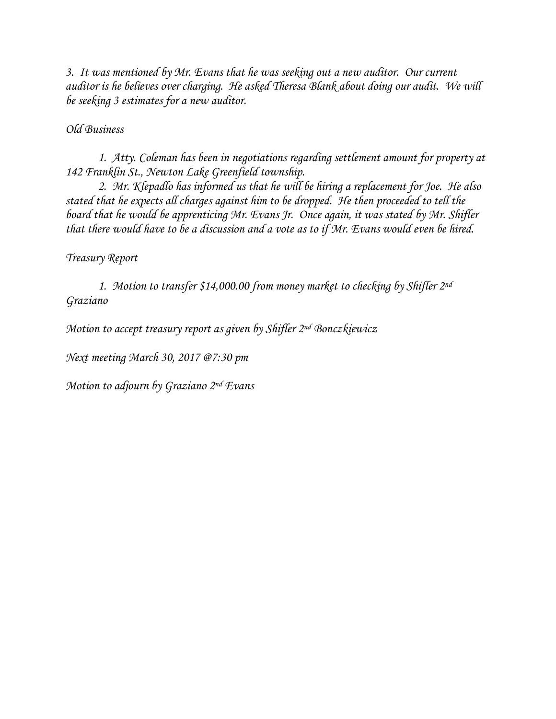*3. It was mentioned by Mr. Evans that he was seeking out a new auditor. Our current auditor is he believes over charging. He asked Theresa Blank about doing our audit. We will be seeking 3 estimates for a new auditor.*

### *Old Business*

*1. Atty. Coleman has been in negotiations regarding settlement amount for property at 142 Franklin St., Newton Lake Greenfield township.*

*2. Mr. Klepadlo has informed us that he will be hiring a replacement for Joe. He also stated that he expects all charges against him to be dropped. He then proceeded to tell the board that he would be apprenticing Mr. Evans Jr. Once again, it was stated by Mr. Shifler that there would have to be a discussion and a vote as to if Mr. Evans would even be hired.*

### *Treasury Report*

*1. Motion to transfer \$14,000.00 from money market to checking by Shifler 2nd Graziano*

*Motion to accept treasury report as given by Shifler 2nd Bonczkiewicz*

*Next meeting March 30, 2017 @7:30 pm*

*Motion to adjourn by Graziano 2nd Evans*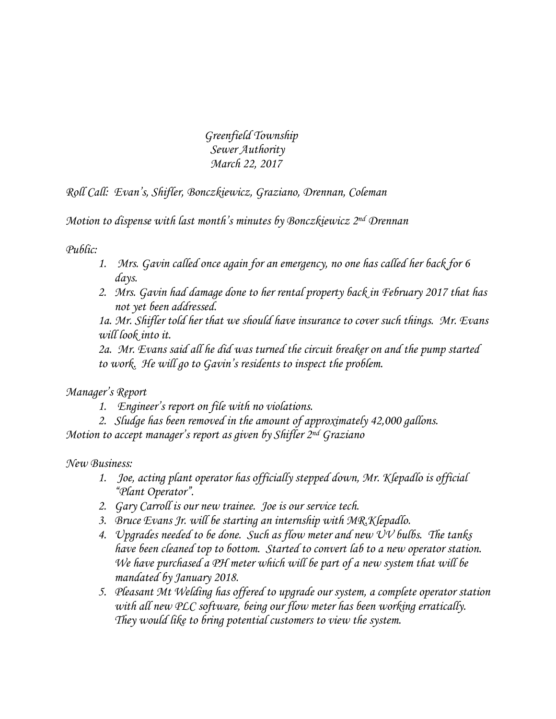*Greenfield Township Sewer Authority March 22, 2017*

*Roll Call: Evan's, Shifler, Bonczkiewicz, Graziano, Drennan, Coleman*

*Motion to dispense with last month's minutes by Bonczkiewicz 2nd Drennan*

*Public:*

- *1. Mrs. Gavin called once again for an emergency, no one has called her back for 6 days.*
- *2. Mrs. Gavin had damage done to her rental property back in February 2017 that has not yet been addressed.*

*1a. Mr. Shifler told her that we should have insurance to cover such things. Mr. Evans will look into it.*

*2a. Mr. Evans said all he did was turned the circuit breaker on and the pump started to work. He will go to Gavin's residents to inspect the problem.*

*Manager's Report*

*1. Engineer's report on file with no violations.*

*2. Sludge has been removed in the amount of approximately 42,000 gallons. Motion to accept manager's report as given by Shifler 2nd Graziano*

*New Business:*

- *1. Joe, acting plant operator has officially stepped down, Mr. Klepadlo is official "Plant Operator".*
- *2. Gary Carroll is our new trainee. Joe is our service tech.*
- *3. Bruce Evans Jr. will be starting an internship with MR.Klepadlo.*
- *4. Upgrades needed to be done. Such as flow meter and new UV bulbs. The tanks have been cleaned top to bottom. Started to convert lab to a new operator station. We have purchased a PH meter which will be part of a new system that will be mandated by January 2018.*
- *5. Pleasant Mt Welding has offered to upgrade our system, a complete operator station with all new PLC software, being our flow meter has been working erratically. They would like to bring potential customers to view the system.*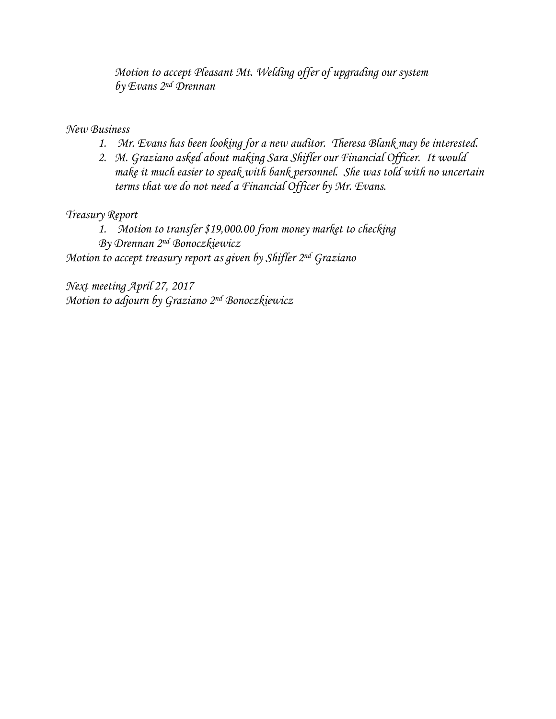*Motion to accept Pleasant Mt. Welding offer of upgrading our system by Evans 2nd Drennan*

*New Business*

- *1. Mr. Evans has been looking for a new auditor. Theresa Blank may be interested.*
- *2. M. Graziano asked about making Sara Shifler our Financial Officer. It would make it much easier to speak with bank personnel. She was told with no uncertain terms that we do not need a Financial Officer by Mr. Evans.*

*Treasury Report*

*1. Motion to transfer \$19,000.00 from money market to checking By Drennan 2nd Bonoczkiewicz Motion to accept treasury report as given by Shifler 2nd Graziano*

*Next meeting April 27, 2017 Motion to adjourn by Graziano 2nd Bonoczkiewicz*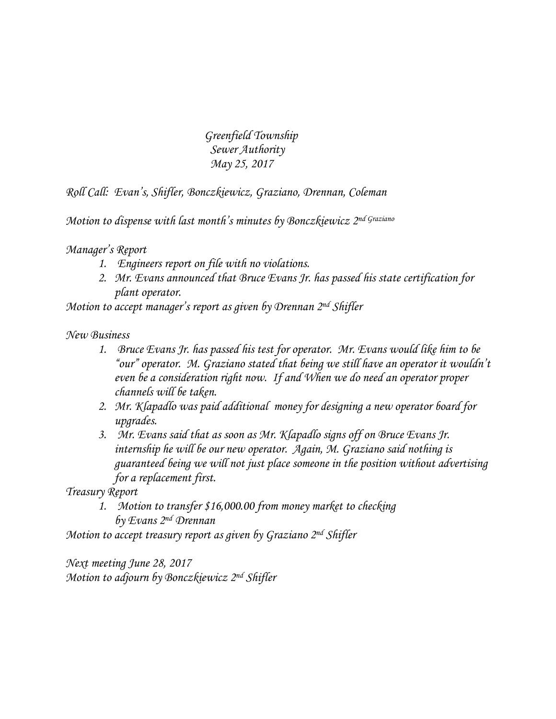*Greenfield Township Sewer Authority May 25, 2017*

*Roll Call: Evan's, Shifler, Bonczkiewicz, Graziano, Drennan, Coleman*

*Motion to dispense with last month's minutes by Bonczkiewicz 2nd Graziano*

*Manager's Report*

- *1. Engineers report on file with no violations.*
- *2. Mr. Evans announced that Bruce Evans Jr. has passed his state certification for plant operator.*

*Motion to accept manager's report as given by Drennan 2nd Shifler*

*New Business*

- *1. Bruce Evans Jr. has passed his test for operator. Mr. Evans would like him to be "our" operator. M. Graziano stated that being we still have an operator it wouldn't even be a consideration right now. If and When we do need an operator proper channels will be taken.*
- *2. Mr. Klapadlo was paid additional money for designing a new operator board for upgrades.*
- *3. Mr. Evans said that as soon as Mr. Klapadlo signs off on Bruce Evans Jr. internship he will be our new operator. Again, M. Graziano said nothing is guaranteed being we will not just place someone in the position without advertising for a replacement first.*

*Treasury Report*

*1. Motion to transfer \$16,000.00 from money market to checking by Evans 2nd Drennan*

*Motion to accept treasury report as given by Graziano 2nd Shifler*

*Next meeting June 28, 2017 Motion to adjourn by Bonczkiewicz 2nd Shifler*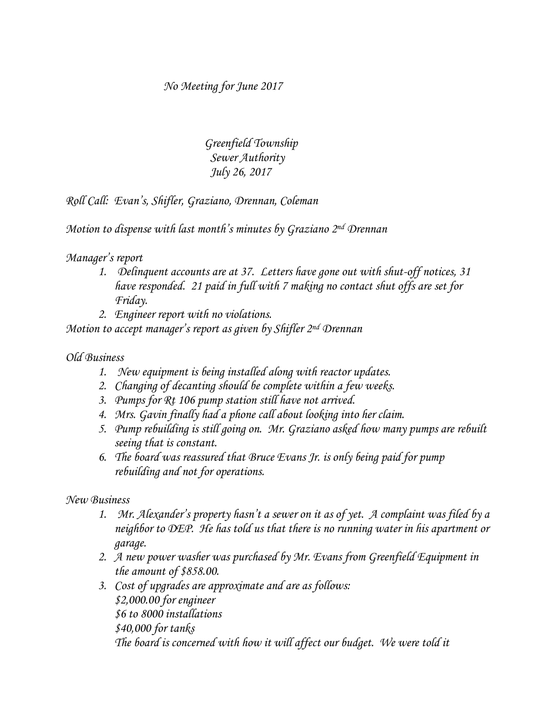*No Meeting for June 2017*

 *Greenfield Township Sewer Authority July 26, 2017*

*Roll Call: Evan's, Shifler, Graziano, Drennan, Coleman*

*Motion to dispense with last month's minutes by Graziano 2 nd Drennan*

### *Manager's report*

- *1. Delinquent accounts are at 37. Letters have gone out with shut-off notices, 31 have responded. 21 paid in full with 7 making no contact shut offs are set for Friday.*
- *2. Engineer report with no violations.*

*Motion to accept manager's report as given by Shifler 2nd Drennan*

### *Old Business*

- *1. New equipment is being installed along with reactor updates.*
- *2. Changing of decanting should be complete within a few weeks.*
- *3. Pumps for Rt 106 pump station still have not arrived.*
- *4. Mrs. Gavin finally had a phone call about looking into her claim.*
- *5. Pump rebuilding is still going on. Mr. Graziano asked how many pumps are rebuilt seeing that is constant.*
- *6. The board was reassured that Bruce Evans Jr. is only being paid for pump rebuilding and not for operations.*

*New Business*

- *1. Mr. Alexander's property hasn't a sewer on it as of yet. A complaint was filed by a neighbor to DEP. He has told us that there is no running water in his apartment or garage.*
- *2. A new power washer was purchased by Mr. Evans from Greenfield Equipment in the amount of \$858.00.*
- *3. Cost of upgrades are approximate and are as follows: \$2,000.00 for engineer \$6 to 8000 installations \$40,000 for tanks The board is concerned with how it will affect our budget. We were told it*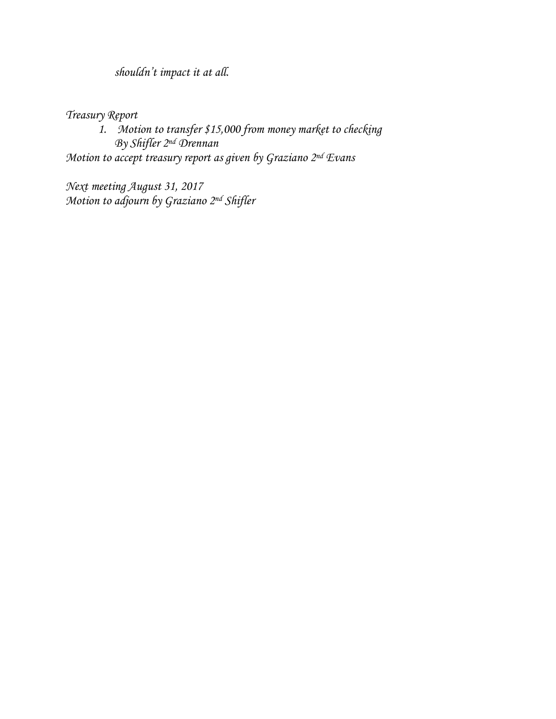*shouldn't impact it at all.*

*Treasury Report*

*1. Motion to transfer \$15,000 from money market to checking By Shifler 2nd Drennan Motion to accept treasury report as given by Graziano 2nd Evans*

*Next meeting August 31, 2017 Motion to adjourn by Graziano 2nd Shifler*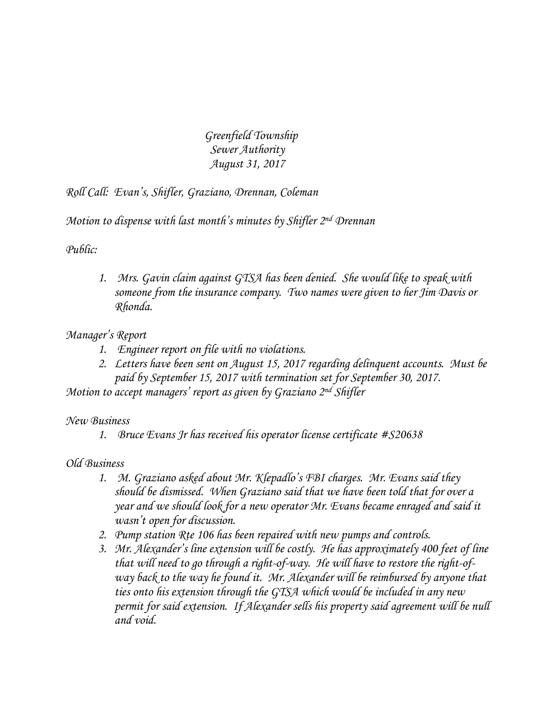*Greenfield Township Sewer Authority August 31, 2017*

*Roll Call: Evan's, Shifler, Graziano, Drennan, Coleman*

*Motion to dispense with last month's minutes by Shifler 2 nd Drennan*

*Public:*

*1. Mrs. Gavin claim against GTSA has been denied. She would like to speak with someone from the insurance company. Two names were given to her Jim Davis or Rhonda.*

### *Manager's Report*

- *1. Engineer report on file with no violations.*
- *2. Letters have been sent on August 15, 2017 regarding delinquent accounts. Must be paid by September 15, 2017 with termination set for September 30, 2017.*

*Motion to accept managers' report as given by Graziano 2nd Shifler*

### *New Business*

*1. Bruce Evans Jr has received his operator license certificate #S20638*

## *Old Business*

- *1. M. Graziano asked about Mr. Klepadlo's FBI charges. Mr. Evans said they should be dismissed. When Graziano said that we have been told that for over a year and we should look for a new operator Mr. Evans became enraged and said it wasn't open for discussion.*
- *2. Pump station Rte 106 has been repaired with new pumps and controls.*
- *3. Mr. Alexander's line extension will be costly. He has approximately 400 feet of line that will need to go through a right-of-way. He will have to restore the right-ofway back to the way he found it. Mr. Alexander will be reimbursed by anyone that ties onto his extension through the GTSA which would be included in any new permit for said extension. If Alexander sells his property said agreement will be null and void.*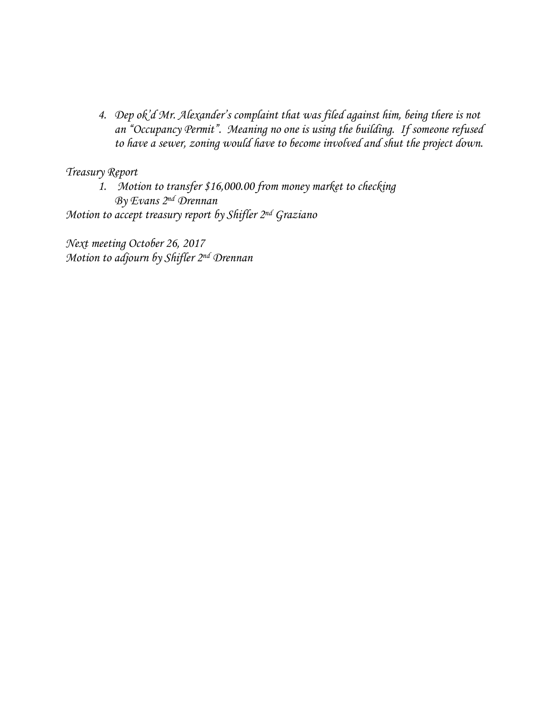*4. Dep ok'd Mr. Alexander's complaint that was filed against him, being there is not an "Occupancy Permit". Meaning no one is using the building. If someone refused to have a sewer, zoning would have to become involved and shut the project down.*

*Treasury Report*

*1. Motion to transfer \$16,000.00 from money market to checking By Evans 2nd Drennan Motion to accept treasury report by Shifler 2nd Graziano*

*Next meeting October 26, 2017 Motion to adjourn by Shifler 2nd Drennan*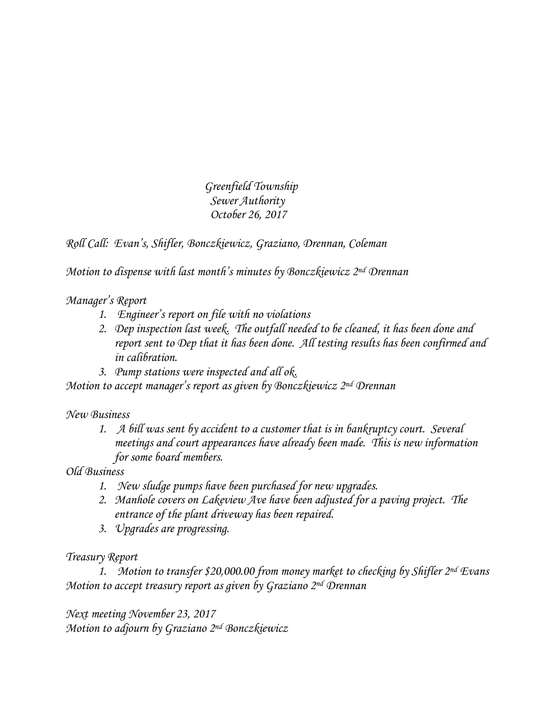*Greenfield Township Sewer Authority October 26, 2017*

*Roll Call: Evan's, Shifler, Bonczkiewicz, Graziano, Drennan, Coleman*

*Motion to dispense with last month's minutes by Bonczkiewicz 2nd Drennan*

*Manager's Report*

- *1. Engineer's report on file with no violations*
- *2. Dep inspection last week. The outfall needed to be cleaned, it has been done and report sent to Dep that it has been done. All testing results has been confirmed and in calibration.*
- *3. Pump stations were inspected and all ok.*

*Motion to accept manager's report as given by Bonczkiewicz 2nd Drennan*

*New Business*

*1. A bill was sent by accident to a customer that is in bankruptcy court. Several meetings and court appearances have already been made. This is new information for some board members.* 

*Old Business*

- *1. New sludge pumps have been purchased for new upgrades.*
- *2. Manhole covers on Lakeview Ave have been adjusted for a paving project. The entrance of the plant driveway has been repaired.*
- *3. Upgrades are progressing.*

## *Treasury Report*

*1. Motion to transfer \$20,000.00 from money market to checking by Shifler 2nd Evans Motion to accept treasury report as given by Graziano 2nd Drennan*

*Next meeting November 23, 2017 Motion to adjourn by Graziano 2nd Bonczkiewicz*